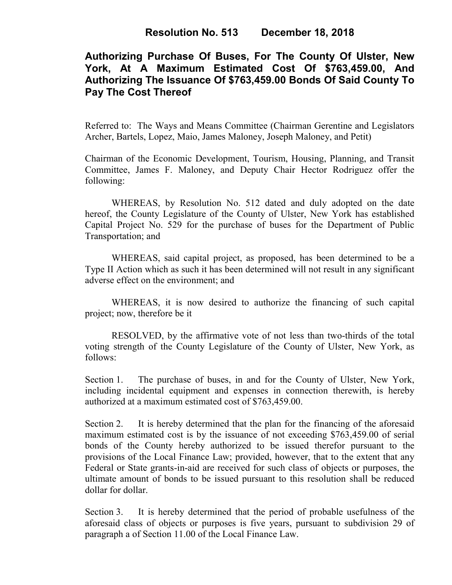# **Authorizing Purchase Of Buses, For The County Of Ulster, New York, At A Maximum Estimated Cost Of \$763,459.00, And Authorizing The Issuance Of \$763,459.00 Bonds Of Said County To Pay The Cost Thereof**

Referred to: The Ways and Means Committee (Chairman Gerentine and Legislators Archer, Bartels, Lopez, Maio, James Maloney, Joseph Maloney, and Petit)

Chairman of the Economic Development, Tourism, Housing, Planning, and Transit Committee, James F. Maloney, and Deputy Chair Hector Rodriguez offer the following:

WHEREAS, by Resolution No. 512 dated and duly adopted on the date hereof, the County Legislature of the County of Ulster, New York has established Capital Project No. 529 for the purchase of buses for the Department of Public Transportation; and

WHEREAS, said capital project, as proposed, has been determined to be a Type II Action which as such it has been determined will not result in any significant adverse effect on the environment; and

WHEREAS, it is now desired to authorize the financing of such capital project; now, therefore be it

RESOLVED, by the affirmative vote of not less than two-thirds of the total voting strength of the County Legislature of the County of Ulster, New York, as follows:

Section 1. The purchase of buses, in and for the County of Ulster, New York, including incidental equipment and expenses in connection therewith, is hereby authorized at a maximum estimated cost of \$763,459.00.

Section 2. It is hereby determined that the plan for the financing of the aforesaid maximum estimated cost is by the issuance of not exceeding \$763,459.00 of serial bonds of the County hereby authorized to be issued therefor pursuant to the provisions of the Local Finance Law; provided, however, that to the extent that any Federal or State grants-in-aid are received for such class of objects or purposes, the ultimate amount of bonds to be issued pursuant to this resolution shall be reduced dollar for dollar.

Section 3. It is hereby determined that the period of probable usefulness of the aforesaid class of objects or purposes is five years, pursuant to subdivision 29 of paragraph a of Section 11.00 of the Local Finance Law.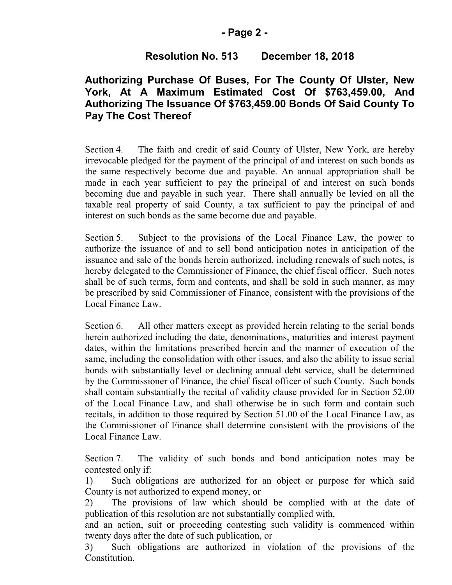### **- Page 2 -**

# **Resolution No. 513 December 18, 2018**

## **Authorizing Purchase Of Buses, For The County Of Ulster, New York, At A Maximum Estimated Cost Of \$763,459.00, And Authorizing The Issuance Of \$763,459.00 Bonds Of Said County To Pay The Cost Thereof**

Section 4. The faith and credit of said County of Ulster, New York, are hereby irrevocable pledged for the payment of the principal of and interest on such bonds as the same respectively become due and payable. An annual appropriation shall be made in each year sufficient to pay the principal of and interest on such bonds becoming due and payable in such year. There shall annually be levied on all the taxable real property of said County, a tax sufficient to pay the principal of and interest on such bonds as the same become due and payable.

Section 5. Subject to the provisions of the Local Finance Law, the power to authorize the issuance of and to sell bond anticipation notes in anticipation of the issuance and sale of the bonds herein authorized, including renewals of such notes, is hereby delegated to the Commissioner of Finance, the chief fiscal officer. Such notes shall be of such terms, form and contents, and shall be sold in such manner, as may be prescribed by said Commissioner of Finance, consistent with the provisions of the Local Finance Law.

Section 6. All other matters except as provided herein relating to the serial bonds herein authorized including the date, denominations, maturities and interest payment dates, within the limitations prescribed herein and the manner of execution of the same, including the consolidation with other issues, and also the ability to issue serial bonds with substantially level or declining annual debt service, shall be determined by the Commissioner of Finance, the chief fiscal officer of such County. Such bonds shall contain substantially the recital of validity clause provided for in Section 52.00 of the Local Finance Law, and shall otherwise be in such form and contain such recitals, in addition to those required by Section 51.00 of the Local Finance Law, as the Commissioner of Finance shall determine consistent with the provisions of the Local Finance Law.

Section 7. The validity of such bonds and bond anticipation notes may be contested only if:

1) Such obligations are authorized for an object or purpose for which said County is not authorized to expend money, or

2) The provisions of law which should be complied with at the date of publication of this resolution are not substantially complied with,

and an action, suit or proceeding contesting such validity is commenced within twenty days after the date of such publication, or

3) Such obligations are authorized in violation of the provisions of the Constitution.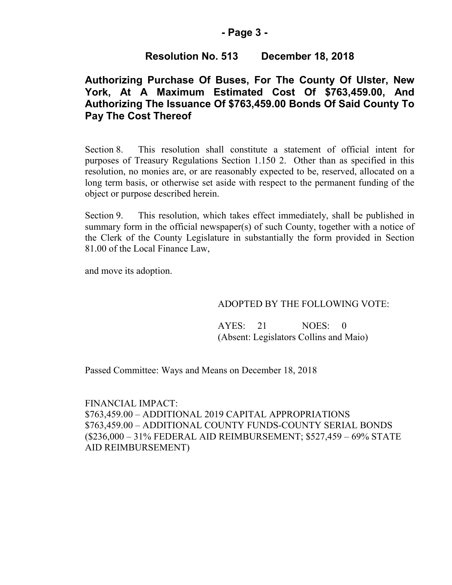### **- Page 3 -**

## **Resolution No. 513 December 18, 2018**

# **Authorizing Purchase Of Buses, For The County Of Ulster, New York, At A Maximum Estimated Cost Of \$763,459.00, And Authorizing The Issuance Of \$763,459.00 Bonds Of Said County To Pay The Cost Thereof**

Section 8. This resolution shall constitute a statement of official intent for purposes of Treasury Regulations Section 1.150 2. Other than as specified in this resolution, no monies are, or are reasonably expected to be, reserved, allocated on a long term basis, or otherwise set aside with respect to the permanent funding of the object or purpose described herein.

Section 9. This resolution, which takes effect immediately, shall be published in summary form in the official newspaper(s) of such County, together with a notice of the Clerk of the County Legislature in substantially the form provided in Section 81.00 of the Local Finance Law,

and move its adoption.

#### ADOPTED BY THE FOLLOWING VOTE:

AYES: 21 NOES: 0 (Absent: Legislators Collins and Maio)

Passed Committee: Ways and Means on December 18, 2018

FINANCIAL IMPACT: \$763,459.00 – ADDITIONAL 2019 CAPITAL APPROPRIATIONS \$763,459.00 – ADDITIONAL COUNTY FUNDS-COUNTY SERIAL BONDS (\$236,000 – 31% FEDERAL AID REIMBURSEMENT; \$527,459 – 69% STATE AID REIMBURSEMENT)